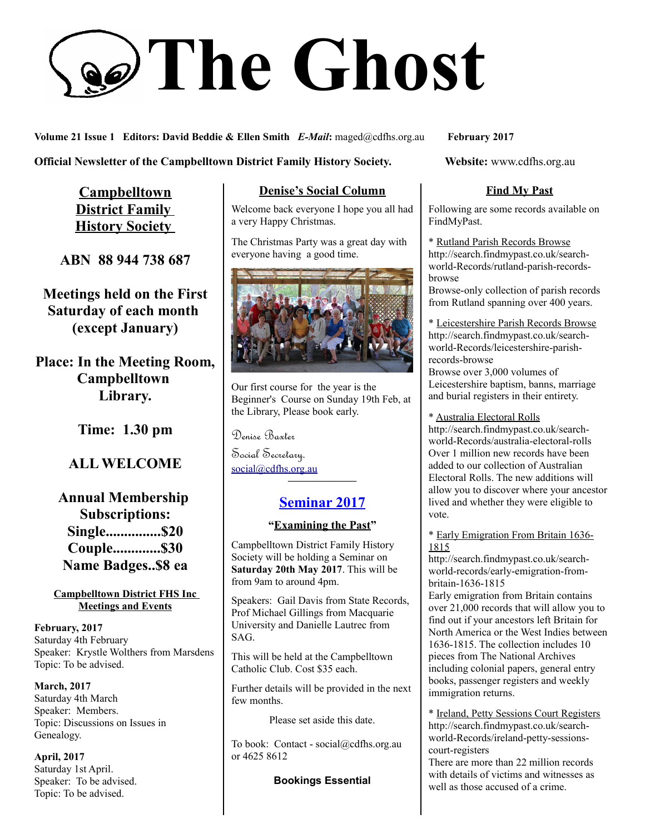# **The Ghost**

**Volume 21 Issue 1 Editors: David Beddie & Ellen Smith** *E-Mail***:** maged@cdfhs.org.au **February 2017**

**Official Newsletter of the Campbelltown District Family History Society. Website: www.cdfhs.org.au** 

**Campbelltown District Family History Society** 

**ABN 88 944 738 687**

**Meetings held on the First Saturday of each month (except January)**

**Place: In the Meeting Room, Campbelltown Library.**

**Time: 1.30 pm**

# **ALL WELCOME**

**Annual Membership Subscriptions: Single...............\$20 Couple.............\$30 Name Badges..\$8 ea**

**Campbelltown District FHS Inc Meetings and Events**

**February, 2017** Saturday 4th February Speaker: Krystle Wolthers from Marsdens Topic: To be advised.

**March, 2017** Saturday 4th March Speaker: Members. Topic: Discussions on Issues in Genealogy.

**April, 2017** Saturday 1st April. Speaker: To be advised. Topic: To be advised.

## **Denise's Social Column**

Welcome back everyone I hope you all had a very Happy Christmas.

The Christmas Party was a great day with everyone having a good time.



Our first course for the year is the Beginner's Course on Sunday 19th Feb, at the Library, Please book early.

Denise Baxter

Social Secretary. [social@cdfhs.org.au](mailto:social@cdfhs.org.au)

# **Seminar 2017**

**——————–**

#### **"Examining the Past"**

Campbelltown District Family History Society will be holding a Seminar on **Saturday 20th May 2017**. This will be from 9am to around 4pm.

Speakers: Gail Davis from State Records, Prof Michael Gillings from Macquarie University and Danielle Lautrec from SAG.

This will be held at the Campbelltown Catholic Club. Cost \$35 each.

Further details will be provided in the next few months.

Please set aside this date.

To book: Contact - social@cdfhs.org.au or 4625 8612

**Bookings Essential**

#### **Find My Past**

Following are some records available on FindMyPast.

\* Rutland Parish Records Browse http://search.findmypast.co.uk/searchworld-Records/rutland-parish-recordsbrowse

Browse-only collection of parish records from Rutland spanning over 400 years.

\* Leicestershire Parish Records Browse http://search.findmypast.co.uk/searchworld-Records/leicestershire-parishrecords-browse

Browse over 3,000 volumes of Leicestershire baptism, banns, marriage and burial registers in their entirety.

\* Australia Electoral Rolls http://search.findmypast.co.uk/searchworld-Records/australia-electoral-rolls Over 1 million new records have been added to our collection of Australian Electoral Rolls. The new additions will allow you to discover where your ancestor lived and whether they were eligible to

#### \* Early Emigration From Britain 1636- 1815

vote.

http://search.findmypast.co.uk/searchworld-records/early-emigration-frombritain-1636-1815

Early emigration from Britain contains over 21,000 records that will allow you to find out if your ancestors left Britain for North America or the West Indies between 1636-1815. The collection includes 10 pieces from The National Archives including colonial papers, general entry books, passenger registers and weekly immigration returns.

\* Ireland, Petty Sessions Court Registers http://search.findmypast.co.uk/searchworld-Records/ireland-petty-sessionscourt-registers

There are more than 22 million records with details of victims and witnesses as well as those accused of a crime.